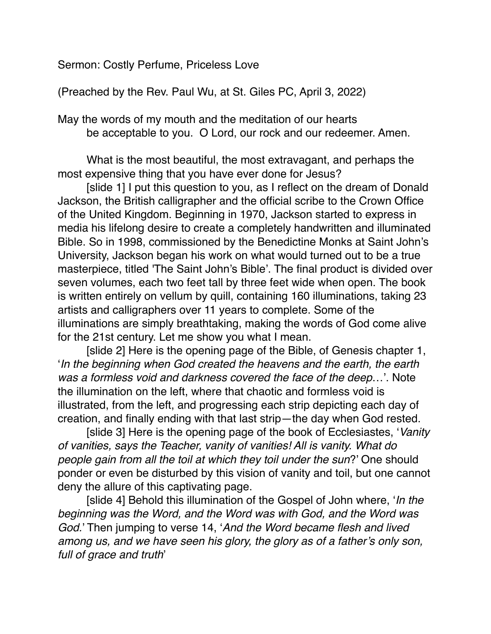Sermon: Costly Perfume, Priceless Love

(Preached by the Rev. Paul Wu, at St. Giles PC, April 3, 2022)

May the words of my mouth and the meditation of our hearts be acceptable to you. O Lord, our rock and our redeemer. Amen.

What is the most beautiful, the most extravagant, and perhaps the most expensive thing that you have ever done for Jesus?

[slide 1] I put this question to you, as I reflect on the dream of Donald Jackson, the British calligrapher and the official scribe to the Crown Office of the United Kingdom. Beginning in 1970, Jackson started to express in media his lifelong desire to create a completely handwritten and illuminated Bible. So in 1998, commissioned by the Benedictine Monks at Saint John's University, Jackson began his work on what would turned out to be a true masterpiece, titled 'The Saint John's Bible'. The final product is divided over seven volumes, each two feet tall by three feet wide when open. The book is written entirely on vellum by quill, containing 160 illuminations, taking 23 artists and calligraphers over 11 years to complete. Some of the illuminations are simply breathtaking, making the words of God come alive for the 21st century. Let me show you what I mean.

[slide 2] Here is the opening page of the Bible, of Genesis chapter 1, '*In the beginning when God created the heavens and the earth, the earth was a formless void and darkness covered the face of the deep*…'. Note the illumination on the left, where that chaotic and formless void is illustrated, from the left, and progressing each strip depicting each day of creation, and finally ending with that last strip—the day when God rested.

[slide 3] Here is the opening page of the book of Ecclesiastes, '*Vanity of vanities, says the Teacher, vanity of vanities! All is vanity. What do people gain from all the toil at which they toil under the sun*?' One should ponder or even be disturbed by this vision of vanity and toil, but one cannot deny the allure of this captivating page.

[slide 4] Behold this illumination of the Gospel of John where, '*In the beginning was the Word, and the Word was with God, and the Word was God.*' Then jumping to verse 14, '*And the Word became flesh and lived among us, and we have seen his glory, the glory as of a father's only son, full of grace and truth*'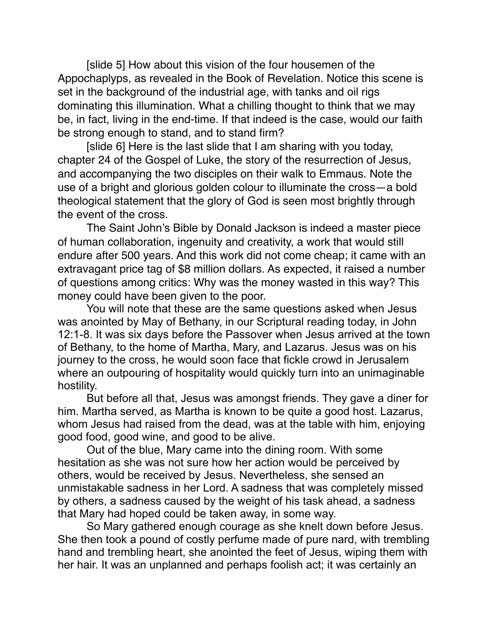[slide 5] How about this vision of the four housemen of the Appochaplyps, as revealed in the Book of Revelation. Notice this scene is set in the background of the industrial age, with tanks and oil rigs dominating this illumination. What a chilling thought to think that we may be, in fact, living in the end-time. If that indeed is the case, would our faith be strong enough to stand, and to stand firm?

[slide 6] Here is the last slide that I am sharing with you today, chapter 24 of the Gospel of Luke, the story of the resurrection of Jesus, and accompanying the two disciples on their walk to Emmaus. Note the use of a bright and glorious golden colour to illuminate the cross—a bold theological statement that the glory of God is seen most brightly through the event of the cross.

The Saint John's Bible by Donald Jackson is indeed a master piece of human collaboration, ingenuity and creativity, a work that would still endure after 500 years. And this work did not come cheap; it came with an extravagant price tag of \$8 million dollars. As expected, it raised a number of questions among critics: Why was the money wasted in this way? This money could have been given to the poor.

You will note that these are the same questions asked when Jesus was anointed by May of Bethany, in our Scriptural reading today, in John 12:1-8. It was six days before the Passover when Jesus arrived at the town of Bethany, to the home of Martha, Mary, and Lazarus. Jesus was on his journey to the cross, he would soon face that fickle crowd in Jerusalem where an outpouring of hospitality would quickly turn into an unimaginable hostility.

But before all that, Jesus was amongst friends. They gave a diner for him. Martha served, as Martha is known to be quite a good host. Lazarus, whom Jesus had raised from the dead, was at the table with him, enjoying good food, good wine, and good to be alive.

Out of the blue, Mary came into the dining room. With some hesitation as she was not sure how her action would be perceived by others, would be received by Jesus. Nevertheless, she sensed an unmistakable sadness in her Lord. A sadness that was completely missed by others, a sadness caused by the weight of his task ahead, a sadness that Mary had hoped could be taken away, in some way.

So Mary gathered enough courage as she knelt down before Jesus. She then took a pound of costly perfume made of pure nard, with trembling hand and trembling heart, she anointed the feet of Jesus, wiping them with her hair. It was an unplanned and perhaps foolish act; it was certainly an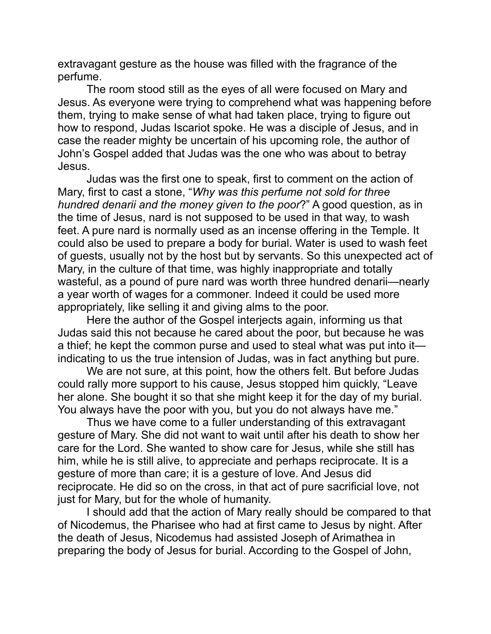extravagant gesture as the house was filled with the fragrance of the perfume.

The room stood still as the eyes of all were focused on Mary and Jesus. As everyone were trying to comprehend what was happening before them, trying to make sense of what had taken place, trying to figure out how to respond, Judas Iscariot spoke. He was a disciple of Jesus, and in case the reader mighty be uncertain of his upcoming role, the author of John's Gospel added that Judas was the one who was about to betray Jesus.

Judas was the first one to speak, first to comment on the action of Mary, first to cast a stone, "*Why was this perfume not sold for three hundred denarii and the money given to the poor*?" A good question, as in the time of Jesus, nard is not supposed to be used in that way, to wash feet. A pure nard is normally used as an incense offering in the Temple. It could also be used to prepare a body for burial. Water is used to wash feet of guests, usually not by the host but by servants. So this unexpected act of Mary, in the culture of that time, was highly inappropriate and totally wasteful, as a pound of pure nard was worth three hundred denarii—nearly a year worth of wages for a commoner. Indeed it could be used more appropriately, like selling it and giving alms to the poor.

Here the author of the Gospel interjects again, informing us that Judas said this not because he cared about the poor, but because he was a thief; he kept the common purse and used to steal what was put into it indicating to us the true intension of Judas, was in fact anything but pure.

We are not sure, at this point, how the others felt. But before Judas could rally more support to his cause, Jesus stopped him quickly, "Leave her alone. She bought it so that she might keep it for the day of my burial. You always have the poor with you, but you do not always have me."

Thus we have come to a fuller understanding of this extravagant gesture of Mary. She did not want to wait until after his death to show her care for the Lord. She wanted to show care for Jesus, while she still has him, while he is still alive, to appreciate and perhaps reciprocate. It is a gesture of more than care; it is a gesture of love. And Jesus did reciprocate. He did so on the cross, in that act of pure sacrificial love, not just for Mary, but for the whole of humanity.

I should add that the action of Mary really should be compared to that of Nicodemus, the Pharisee who had at first came to Jesus by night. After the death of Jesus, Nicodemus had assisted Joseph of Arimathea in preparing the body of Jesus for burial. According to the Gospel of John,